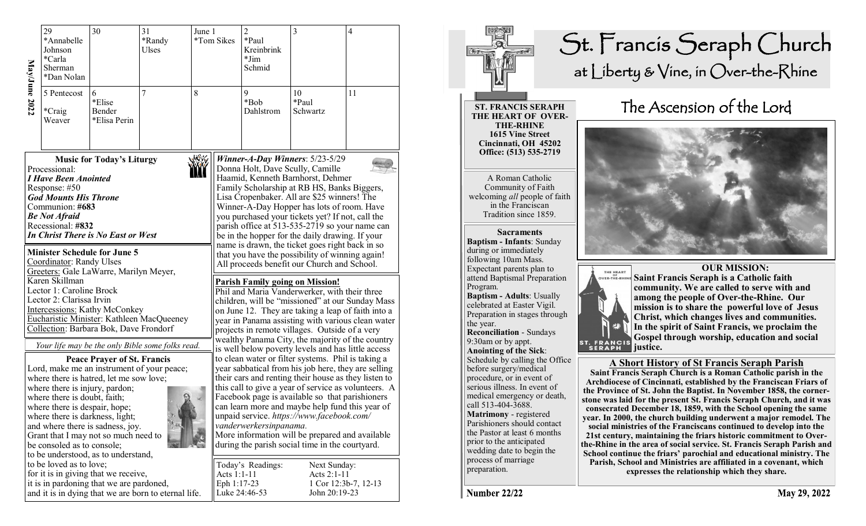| MayJune 2022 | 29<br>*Annabelle<br>Johnson<br>*Carla<br>Sherman<br>*Dan Nolan                                                                                                                                                                                                                                      | 30                                                                                                                                                                                                                                             | 31<br>*Randy<br>Ulses                                | June 1                 | *Tom Sikes                 | $\overline{c}$<br>*Paul<br>Kreinbrink<br>$*Jim$<br>Schmid                                                                                                                                                                                                                                                                                                                                                                                                         | 3                                                                                                                                                                                                                                                                                                                                                                                                                                                                                                                   | $\overline{4}$       |  |  |
|--------------|-----------------------------------------------------------------------------------------------------------------------------------------------------------------------------------------------------------------------------------------------------------------------------------------------------|------------------------------------------------------------------------------------------------------------------------------------------------------------------------------------------------------------------------------------------------|------------------------------------------------------|------------------------|----------------------------|-------------------------------------------------------------------------------------------------------------------------------------------------------------------------------------------------------------------------------------------------------------------------------------------------------------------------------------------------------------------------------------------------------------------------------------------------------------------|---------------------------------------------------------------------------------------------------------------------------------------------------------------------------------------------------------------------------------------------------------------------------------------------------------------------------------------------------------------------------------------------------------------------------------------------------------------------------------------------------------------------|----------------------|--|--|
|              | 8<br>7<br>5 Pentecost<br>6<br>*Elise<br>*Craig<br>Bender<br>*Elisa Perin<br>Weaver                                                                                                                                                                                                                  |                                                                                                                                                                                                                                                |                                                      | 9<br>*Bob<br>Dahlstrom | 10<br>*Paul<br>Schwartz    | 11                                                                                                                                                                                                                                                                                                                                                                                                                                                                |                                                                                                                                                                                                                                                                                                                                                                                                                                                                                                                     |                      |  |  |
|              | Processional:<br><b>I Have Been Anointed</b><br>Response: #50<br><b>God Mounts His Throne</b><br>Communion: #683<br><b>Be Not Afraid</b><br>Recessional: #832<br>Coordinator: Randy Ulses                                                                                                           | <b>Music for Today's Liturgy</b><br>In Christ There is No East or West<br><b>Minister Schedule for June 5</b>                                                                                                                                  |                                                      |                        |                            |                                                                                                                                                                                                                                                                                                                                                                                                                                                                   | Winner-A-Day Winners: 5/23-5/29<br>Donna Holt, Dave Scully, Camille<br>Haamid, Kenneth Barnhorst, Dehmer<br>Family Scholarship at RB HS, Banks Biggers,<br>Lisa Cropenbaker. All are \$25 winners! The<br>Winner-A-Day Hopper has lots of room. Have<br>you purchased your tickets yet? If not, call the<br>parish office at 513-535-2719 so your name can<br>be in the hopper for the daily drawing. If your<br>name is drawn, the ticket goes right back in so<br>that you have the possibility of winning again! |                      |  |  |
|              | Greeters: Gale LaWarre, Marilyn Meyer,<br>Karen Skillman<br>Lector 1: Caroline Brock<br>Lector 2: Clarissa Irvin<br><b>Intercessions:</b> Kathy McConkey<br>Eucharistic Minister: Kathleen MacQueeney<br>Collection: Barbara Bok, Dave Frondorf<br>Your life may be the only Bible some folks read. |                                                                                                                                                                                                                                                |                                                      |                        |                            | All proceeds benefit our Church and School.<br><b>Parish Family going on Mission!</b><br>Phil and Maria Vanderwerker, with their three<br>children, will be "missioned" at our Sunday Mass<br>on June 12. They are taking a leap of faith into a<br>year in Panama assisting with various clean water<br>projects in remote villages. Outside of a very<br>wealthy Panama City, the majority of the country<br>is well below poverty levels and has little access |                                                                                                                                                                                                                                                                                                                                                                                                                                                                                                                     |                      |  |  |
|              | where there is injury, pardon;<br>where there is doubt, faith;<br>where there is despair, hope;<br>where there is darkness, light;<br>be consoled as to console;                                                                                                                                    | <b>Peace Prayer of St. Francis</b><br>Lord, make me an instrument of your peace;<br>where there is hatred, let me sow love;<br>and where there is sadness, joy.<br>Grant that I may not so much need to<br>to be understood, as to understand, |                                                      |                        |                            | vanderwerkersinpanama.                                                                                                                                                                                                                                                                                                                                                                                                                                            | to clean water or filter systems. Phil is taking a<br>year sabbatical from his job here, they are selling<br>their cars and renting their house as they listen to<br>this call to give a year of service as volunteers. A<br>Facebook page is available so that parishioners<br>can learn more and maybe help fund this year of<br>unpaid service. https://www.facebook.com/<br>More information will be prepared and available<br>during the parish social time in the courtyard.                                  |                      |  |  |
|              | to be loved as to love;                                                                                                                                                                                                                                                                             | for it is in giving that we receive,<br>it is in pardoning that we are pardoned,                                                                                                                                                               | and it is in dying that we are born to eternal life. |                        | Acts 1:1-11<br>Eph 1:17-23 | Today's Readings:<br>Luke 24:46-53                                                                                                                                                                                                                                                                                                                                                                                                                                | Next Sunday:<br>Acts 2:1-11<br>John 20:19-23                                                                                                                                                                                                                                                                                                                                                                                                                                                                        | 1 Cor 12:3b-7, 12-13 |  |  |



# St. Francis Seraph Church at Liberty & Vine, in Over-the-Rhine

**ST. FRANCIS SERAPH THE HEART OF OVER-Cincinnati, OH 45202 Office: (513) 535-2719** 

A Roman Catholic Community of Faith welcoming *all* people of faith Tradition since 1859.

**Baptism - Infants**: Sunday during or immediately following 10am Mass. Expectant parents plan to attend Baptismal Preparation Program. **Baptism - Adults**: Usually celebrated at Easter Vigil. Preparation in stages through the year. **Reconciliation** - Sundays 9:30am or by appt. **Anointing of the Sick**: Schedule by calling the Office before surgery/medical

procedure, or in event of serious illness. In event of medical emergency or death, call 513-404-3688. **Matrimony** - registered Parishioners should contact the Pastor at least 6 months prior to the anticipated wedding date to begin the process of marriage preparation.

## The Ascension of the Lord





 **OUR MISSION: Saint Francis Seraph is a Catholic faith community. We are called to serve with and among the people of Over-the-Rhine. Our mission is to share the powerful love of Jesus Christ, which changes lives and communities. In the spirit of Saint Francis, we proclaim the Gospel through worship, education and social** 

#### **A Short History of St Francis Seraph Parish**

**Saint Francis Seraph Church is a Roman Catholic parish in the Archdiocese of Cincinnati, established by the Franciscan Friars of the Province of St. John the Baptist. In November 1858, the cornerstone was laid for the present St. Francis Seraph Church, and it was consecrated December 18, 1859, with the School opening the same year. In 2000, the church building underwent a major remodel. The social ministries of the Franciscans continued to develop into the 21st century, maintaining the friars historic commitment to Overthe-Rhine in the area of social service. St. Francis Seraph Parish and School continue the friars' parochial and educational ministry. The Parish, School and Ministries are affiliated in a covenant, which expresses the relationship which they share.** 

**Number 22/22**